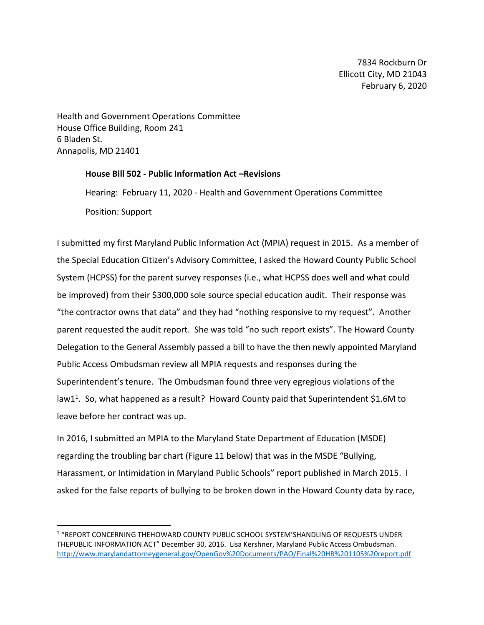7834 Rockburn Dr Ellicott City, MD 21043 February 6, 2020

Health and Government Operations Committee House Office Building, Room 241 6 Bladen St. Annapolis, MD 21401

 $\overline{a}$ 

## **House Bill 502 - Public Information Act –Revisions**

Hearing: February 11, 2020 - Health and Government Operations Committee Position: Support

I submitted my first Maryland Public Information Act (MPIA) request in 2015. As a member of the Special Education Citizen's Advisory Committee, I asked the Howard County Public School System (HCPSS) for the parent survey responses (i.e., what HCPSS does well and what could be improved) from their \$300,000 sole source special education audit. Their response was "the contractor owns that data" and they had "nothing responsive to my request". Another parent requested the audit report. She was told "no such report exists". The Howard County Delegation to the General Assembly passed a bill to have the then newly appointed Maryland Public Access Ombudsman review all MPIA requests and responses during the Superintendent's tenure. The Ombudsman found three very egregious violations of the law1<sup>1</sup>. So, what happened as a result? Howard County paid that Superintendent \$1.6M to leave before her contract was up.

In 2016, I submitted an MPIA to the Maryland State Department of Education (MSDE) regarding the troubling bar chart (Figure 11 below) that was in the MSDE "Bullying, Harassment, or Intimidation in Maryland Public Schools" report published in March 2015. I asked for the false reports of bullying to be broken down in the Howard County data by race,

<sup>1</sup> "REPORT CONCERNING THEHOWARD COUNTY PUBLIC SCHOOL SYSTEM'SHANDLING OF REQUESTS UNDER THEPUBLIC INFORMATION ACT" December 30, 2016. Lisa Kershner, Maryland Public Access Ombudsman. <http://www.marylandattorneygeneral.gov/OpenGov%20Documents/PAO/Final%20HB%201105%20report.pdf>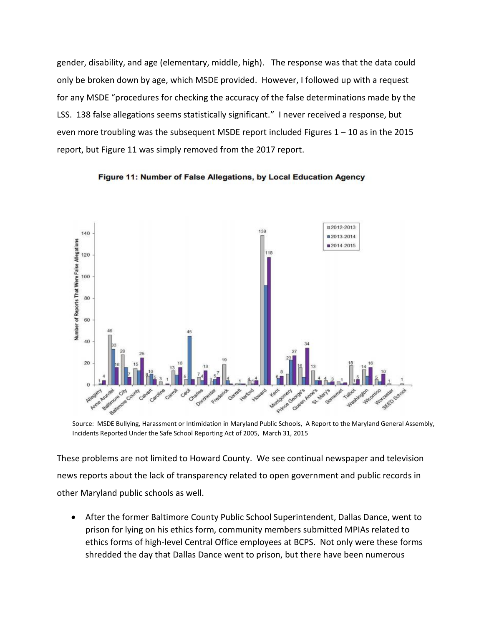gender, disability, and age (elementary, middle, high). The response was that the data could only be broken down by age, which MSDE provided. However, I followed up with a request for any MSDE "procedures for checking the accuracy of the false determinations made by the LSS. 138 false allegations seems statistically significant." I never received a response, but even more troubling was the subsequent MSDE report included Figures 1 – 10 as in the 2015 report, but Figure 11 was simply removed from the 2017 report.



Figure 11: Number of False Allegations, by Local Education Agency

Source: MSDE Bullying, Harassment or Intimidation in Maryland Public Schools, A Report to the Maryland General Assembly, Incidents Reported Under the Safe School Reporting Act of 2005, March 31, 2015

These problems are not limited to Howard County. We see continual newspaper and television news reports about the lack of transparency related to open government and public records in other Maryland public schools as well.

 After the former Baltimore County Public School Superintendent, Dallas Dance, went to prison for lying on his ethics form, community members submitted MPIAs related to ethics forms of high-level Central Office employees at BCPS. Not only were these forms shredded the day that Dallas Dance went to prison, but there have been numerous